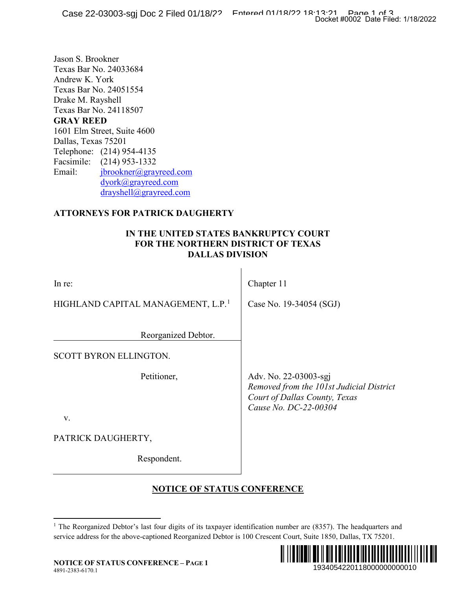## **ATTORNEYS FOR PATRICK DAUGHERTY**

### **IN THE UNITED STATES BANKRUPTCY COURT FOR THE NORTHERN DISTRICT OF TEXAS DALLAS DIVISION**

|                                                                                                                                                                                                                                                                                                                                                                                                          | Docket #0002 Date Filed: 1/18/2022                                                                                          |
|----------------------------------------------------------------------------------------------------------------------------------------------------------------------------------------------------------------------------------------------------------------------------------------------------------------------------------------------------------------------------------------------------------|-----------------------------------------------------------------------------------------------------------------------------|
| Jason S. Brookner<br>Texas Bar No. 24033684<br>Andrew K. York<br>Texas Bar No. 24051554<br>Drake M. Rayshell<br>Texas Bar No. 24118507<br><b>GRAY REED</b><br>1601 Elm Street, Suite 4600<br>Dallas, Texas 75201<br>Telephone: (214) 954-4135<br>Facsimile: (214) 953-1332<br>jbrookner@grayreed.com<br>Email:<br>dyork@grayreed.com<br>drayshell@grayreed.com<br><b>ATTORNEYS FOR PATRICK DAUGHERTY</b> |                                                                                                                             |
|                                                                                                                                                                                                                                                                                                                                                                                                          |                                                                                                                             |
| IN THE UNITED STATES BANKRUPTCY COURT<br><b>FOR THE NORTHERN DISTRICT OF TEXAS</b><br><b>DALLAS DIVISION</b>                                                                                                                                                                                                                                                                                             |                                                                                                                             |
| In re:                                                                                                                                                                                                                                                                                                                                                                                                   | Chapter 11                                                                                                                  |
| HIGHLAND CAPITAL MANAGEMENT, L.P. <sup>1</sup>                                                                                                                                                                                                                                                                                                                                                           | Case No. 19-34054 (SGJ)                                                                                                     |
| Reorganized Debtor.                                                                                                                                                                                                                                                                                                                                                                                      |                                                                                                                             |
| SCOTT BYRON ELLINGTON.                                                                                                                                                                                                                                                                                                                                                                                   |                                                                                                                             |
| Petitioner,<br>V.                                                                                                                                                                                                                                                                                                                                                                                        | Adv. No. 22-03003-sgj<br>Removed from the 101st Judicial District<br>Court of Dallas County, Texas<br>Cause No. DC-22-00304 |
| PATRICK DAUGHERTY,                                                                                                                                                                                                                                                                                                                                                                                       |                                                                                                                             |
| Respondent.                                                                                                                                                                                                                                                                                                                                                                                              |                                                                                                                             |
| <b>NOTICE OF STATUS CONFERENCE</b>                                                                                                                                                                                                                                                                                                                                                                       |                                                                                                                             |
| <sup>1</sup> The Reorganized Debtor's last four digits of its taxpayer identification number are $(8357)$ . The headquarters and<br>service address for the above-captioned Reorganized Debtor is 100 Crescent Court, Suite 1850, Dallas, TX 75201.<br><b>NOTICE OF STATUS CONFERENCE - PAGE 1</b>                                                                                                       | 1934054220118000000000010                                                                                                   |

# **NOTICE OF STATUS CONFERENCE**

<span id="page-0-0"></span><sup>&</sup>lt;sup>1</sup> The Reorganized Debtor's last four digits of its taxpayer identification number are (8357). The headquarters and service address for the above-captioned Reorganized Debtor is 100 Crescent Court, Suite 1850, Dallas, TX 75201.

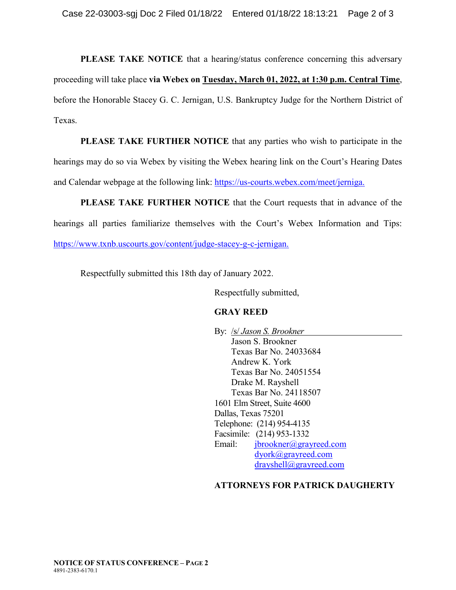**PLEASE TAKE NOTICE** that a hearing/status conference concerning this adversary proceeding will take place **via Webex on Tuesday, March 01, 2022, at 1:30 p.m. Central Time**, before the Honorable Stacey G. C. Jernigan, U.S. Bankruptcy Judge for the Northern District of Texas.

**PLEASE TAKE FURTHER NOTICE** that any parties who wish to participate in the hearings may do so via Webex by visiting the Webex hearing link on the Court's Hearing Dates and Calendar webpage at the following link: [https://us-courts.webex.com/meet/jerniga.](https://us-courts.webex.com/meet/jerniga)

**PLEASE TAKE FURTHER NOTICE** that the Court requests that in advance of the hearings all parties familiarize themselves with the Court's Webex Information and Tips: [https://www.txnb.uscourts.gov/content/judge-stacey-g-c-jernigan.](https://www.txnb.uscourts.gov/content/judge-stacey-g-c-jernigan)

Respectfully submitted this 18th day of January 2022.

Respectfully submitted,

#### **GRAY REED**

By: /s/ *Jason S. Brookner* Jason S. Brookner Texas Bar No. 24033684 Andrew K. York Texas Bar No. 24051554 Drake M. Rayshell Texas Bar No. 24118507 1601 Elm Street, Suite 4600 Dallas, Texas 75201 Telephone: (214) 954-4135 Facsimile: (214) 953-1332 Email: [jbrookner@grayreed.com](mailto:jbrookner@grayreed.com) [dyork@grayreed.com](mailto:dyork@grayreed.com) [drayshell@grayreed.com](mailto:drayshell@grayreed.com)

## **ATTORNEYS FOR PATRICK DAUGHERTY**